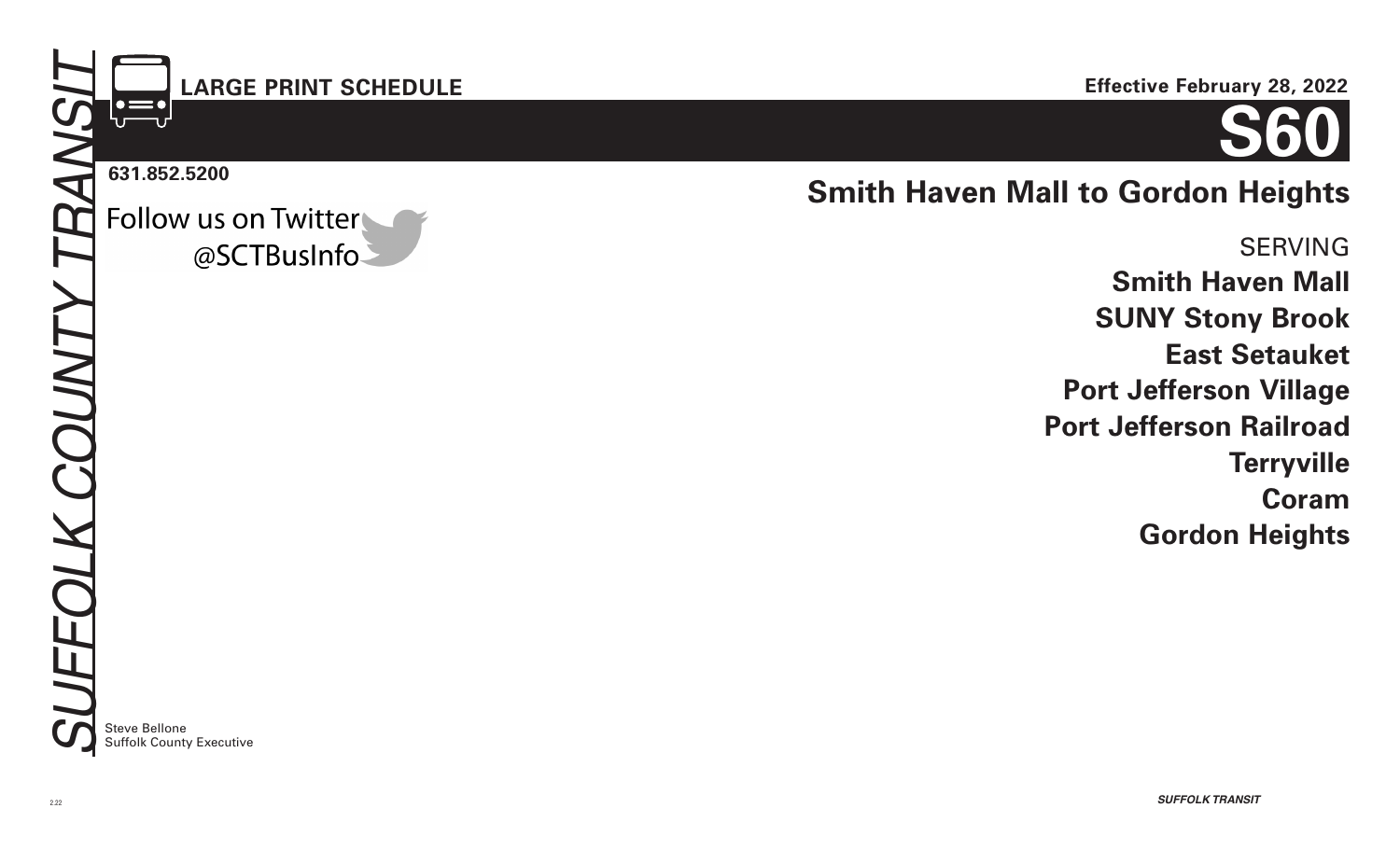# **LARGE PRINT SCHEDULE**

#### **631.852.5200**

Follow us on Twitter @SCTBusInfo



# **Smith Haven Mall to Gordon Heights**

SERVING **Smith Haven Mall SUNY Stony Brook East Setauket Port Jefferson Village Port Jefferson Railroad Terryville Coram Gordon Heights**

Steve Bellone Suffolk County Executive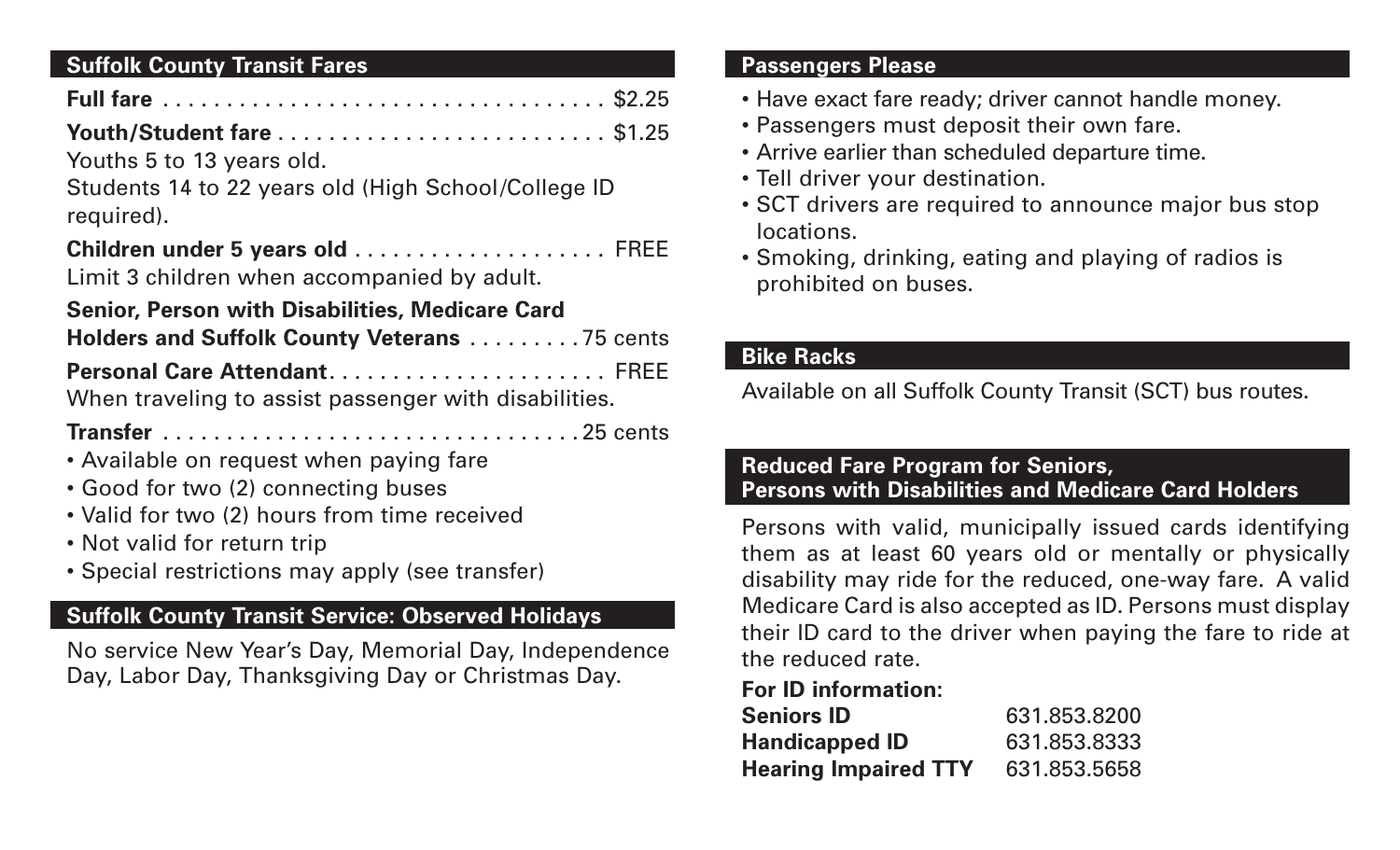## **Suffolk County Transit Fares**

| Youths 5 to 13 years old.                                                       |  |
|---------------------------------------------------------------------------------|--|
| Students 14 to 22 years old (High School/College ID<br>required).               |  |
| Children under 5 years old  FREE<br>Limit 3 children when accompanied by adult. |  |
| <b>Senior, Person with Disabilities, Medicare Card</b>                          |  |
| Holders and Suffolk County Veterans 75 cents                                    |  |
| Personal Care Attendant FREE                                                    |  |

When traveling to assist passenger with disabilities.

**Transfer** . . . . . . . . . . . . . . . . . . . . . . . . . . . . . . . . 25 cents

- Available on request when paying fare
- Good for two (2) connecting buses
- Valid for two (2) hours from time received
- Not valid for return trip
- Special restrictions may apply (see transfer)

## **Suffolk County Transit Service: Observed Holidays**

No service New Year's Day, Memorial Day, Independence Day, Labor Day, Thanksgiving Day or Christmas Day.

## **Passengers Please**

- Have exact fare ready; driver cannot handle money.
- Passengers must deposit their own fare.
- Arrive earlier than scheduled departure time.
- Tell driver your destination.
- SCT drivers are required to announce major bus stop locations.
- Smoking, drinking, eating and playing of radios is prohibited on buses.

## **Bike Racks**

Available on all Suffolk County Transit (SCT) bus routes.

## **Reduced Fare Program for Seniors, Persons with Disabilities and Medicare Card Holders**

Persons with valid, municipally issued cards identifying them as at least 60 years old or mentally or physically disability may ride for the reduced, one-way fare. A valid Medicare Card is also accepted as ID. Persons must display their ID card to the driver when paying the fare to ride at the reduced rate.

## **For ID information:**

| <b>Seniors ID</b>           | 631.853.8200 |
|-----------------------------|--------------|
| <b>Handicapped ID</b>       | 631.853.8333 |
| <b>Hearing Impaired TTY</b> | 631.853.5658 |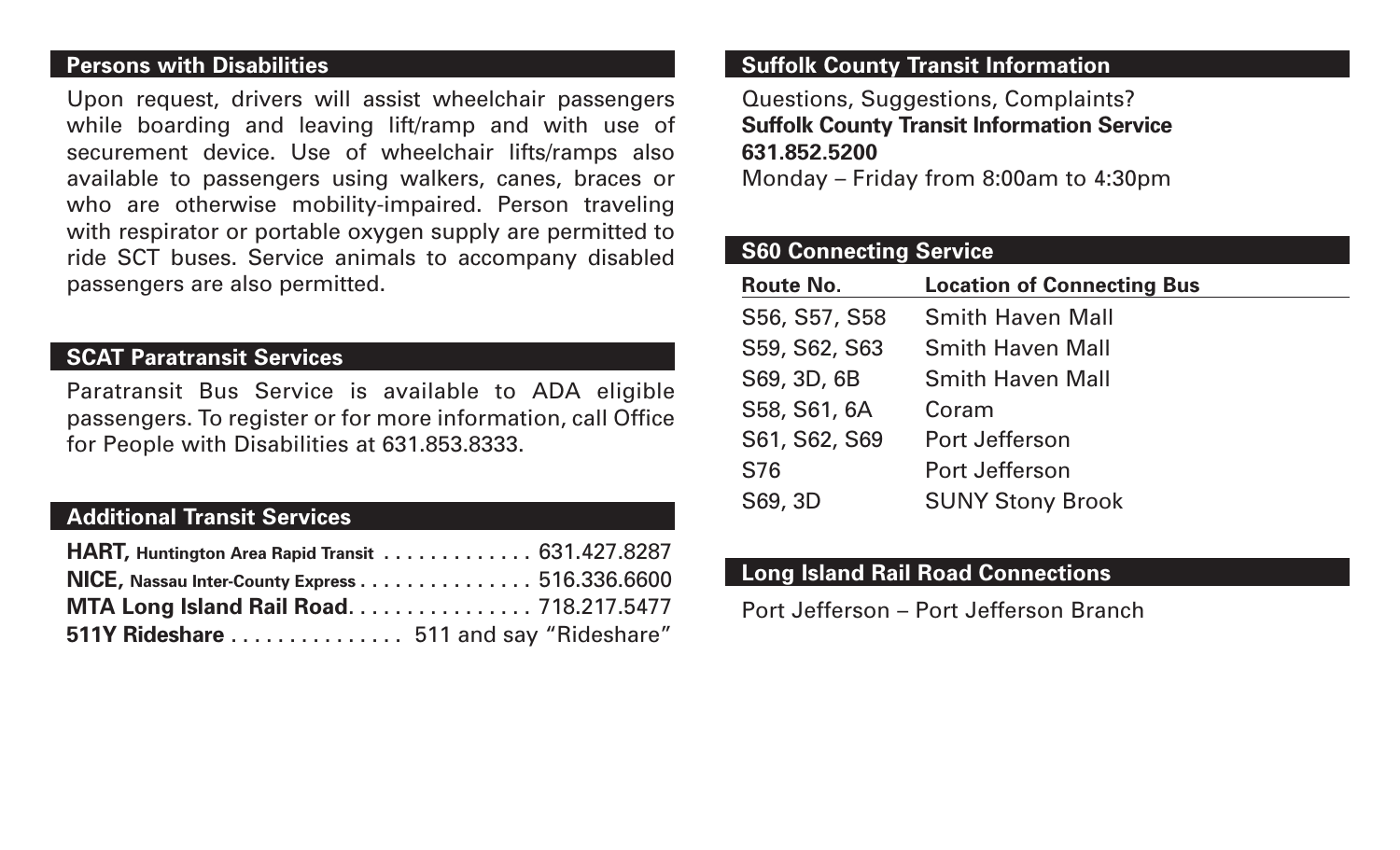#### **Persons with Disabilities**

Upon request, drivers will assist wheelchair passengers while boarding and leaving lift/ramp and with use of securement device. Use of wheelchair lifts/ramps also available to passengers using walkers, canes, braces or who are otherwise mobility-impaired. Person traveling with respirator or portable oxygen supply are permitted to ride SCT buses. Service animals to accompany disabled passengers are also permitted.

### **SCAT Paratransit Services**

Paratransit Bus Service is available to ADA eligible passengers. To register or for more information, call Office for People with Disabilities at 631.853.8333.

## **Additional Transit Services**

| <b>HART, Huntington Area Rapid Transit  631.427.8287</b> |  |
|----------------------------------------------------------|--|
| NICE, Nassau Inter-County Express 516.336.6600           |  |
| MTA Long Island Rail Road 718.217.5477                   |  |
| 511Y Rideshare  511 and say "Rideshare"                  |  |

#### **Suffolk County Transit Information**

Questions, Suggestions, Complaints? **Suffolk County Transit Information Service 631.852.5200**

Monday – Friday from 8:00am to 4:30pm

#### **S60 Connecting Service**

| Route No.     | <b>Location of Connecting Bus</b> |
|---------------|-----------------------------------|
| S56, S57, S58 | <b>Smith Haven Mall</b>           |
| S59, S62, S63 | <b>Smith Haven Mall</b>           |
| S69, 3D, 6B   | <b>Smith Haven Mall</b>           |
| S58, S61, 6A  | Coram                             |
| S61, S62, S69 | Port Jefferson                    |
| S76           | Port Jefferson                    |
| S69, 3D       | <b>SUNY Stony Brook</b>           |

#### **Long Island Rail Road Connections**

Port Jefferson – Port Jefferson Branch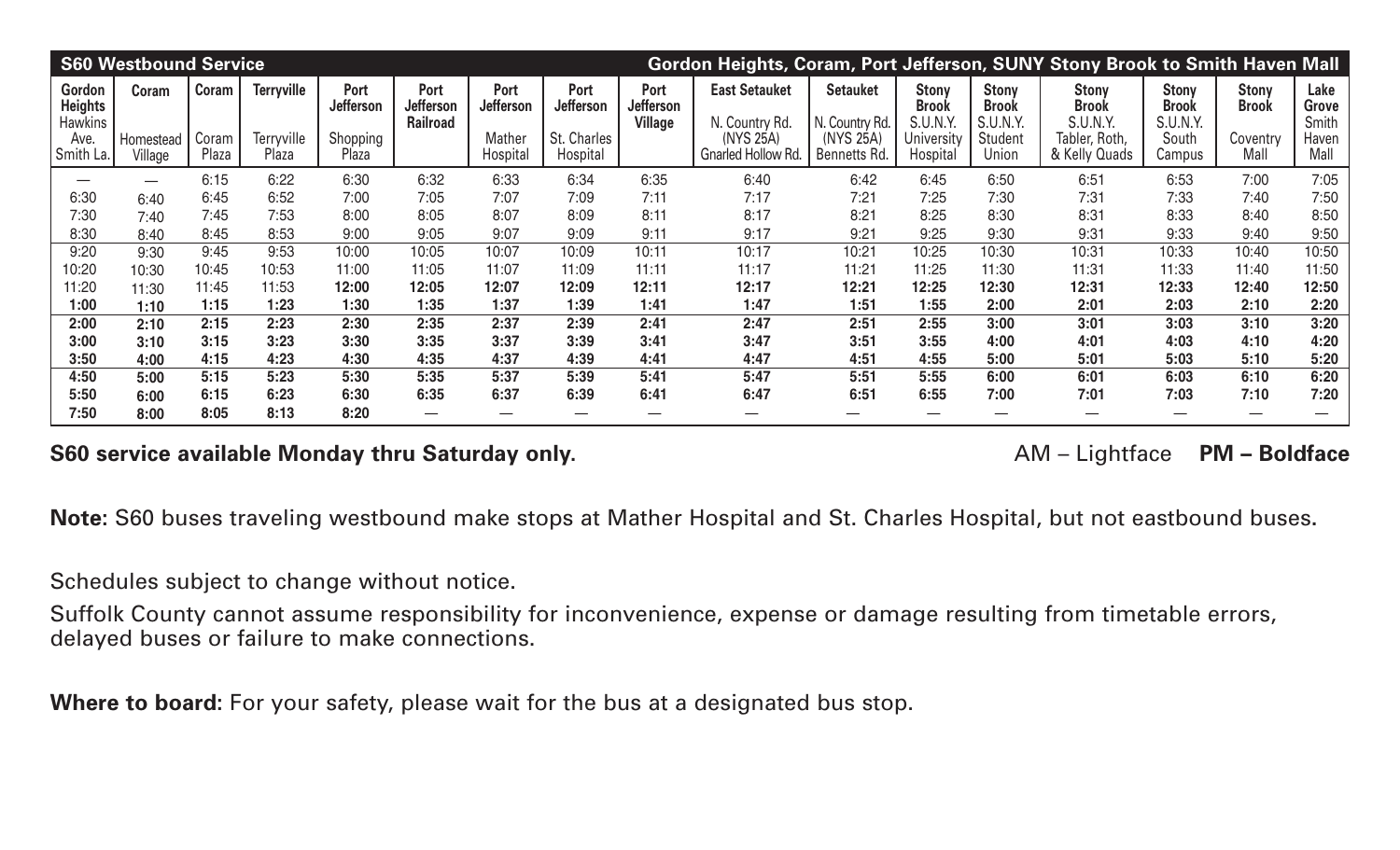|                                            | <b>S60 Westbound Service</b> |                |                     |                   |                                             |                                 |                          |                              | Gordon Heights, Coram, Port Jefferson, SUNY Stony Brook to Smith Haven Mall |                                   |                                          |                                                 |                                          |                                          |                              |                        |
|--------------------------------------------|------------------------------|----------------|---------------------|-------------------|---------------------------------------------|---------------------------------|--------------------------|------------------------------|-----------------------------------------------------------------------------|-----------------------------------|------------------------------------------|-------------------------------------------------|------------------------------------------|------------------------------------------|------------------------------|------------------------|
| Gordon<br><b>Heights</b><br><b>Hawkins</b> | Coram                        | Coram          | <b>Terryville</b>   | Port<br>Jefferson | Port<br><b>Jefferson</b><br><b>Railroad</b> | <b>Port</b><br><b>Jefferson</b> | Port<br><b>Jefferson</b> | Port<br>Jefferson<br>Village | <b>East Setauket</b><br>N. Country Rd.                                      | <b>Setauket</b><br>N. Country Rd. | <b>Stony</b><br><b>Brook</b><br>S.U.N.Y. | <b>Stony</b><br><b>Brook</b><br><b>S.U.N.Y.</b> | <b>Stony</b><br><b>Brook</b><br>S.U.N.Y. | <b>Stony</b><br><b>Brook</b><br>S.U.N.Y. | <b>Stony</b><br><b>Brook</b> | Lake<br>Grove<br>Smith |
| Ave.<br>Smith La.                          | Homestead<br>Village         | Coram<br>Plaza | Terryville<br>Plaza | Shopping<br>Plaza |                                             | Mather<br>Hospital              | St. Charles<br>Hospital  |                              | (NYS 25A)<br>Gnarled Hollow Rd.                                             | (NYS 25A)<br>Bennetts Rd.         | University<br>Hospital                   | Student<br>Union                                | Tabler, Roth,<br>& Kelly Quads           | South<br>Campus                          | Coventry<br>Mall             | Haven<br>Mall          |
|                                            |                              | 6:15           | 6:22                | 6:30              | 6:32                                        | 6:33                            | 6:34                     | 6:35                         | 6:40                                                                        | 6:42                              | 6:45                                     | 6:50                                            | 6:51                                     | 6:53                                     | 7:00                         | 7:05                   |
| 6:30                                       | 6:40                         | 6:45           | 6:52                | 7:00              | 7:05                                        | 7:07                            | 7:09                     | 7:11                         | 7:17                                                                        | 7:21                              | 7:25                                     | 7:30                                            | 7:31                                     | 7:33                                     | 7:40                         | 7:50                   |
| 7:30                                       | 7:40                         | 7:45           | 7:53                | 8:00              | 8:05                                        | 8:07                            | 8:09                     | 8:11                         | 8:17                                                                        | 8:21                              | 8:25                                     | 8:30                                            | 8:31                                     | 8:33                                     | 8:40                         | 8:50                   |
| 8:30                                       | 8:40                         | 8:45           | 8:53                | 9:00              | 9:05                                        | 9:07                            | 9:09                     | 9:11                         | 9:17                                                                        | 9:21                              | 9:25                                     | 9:30                                            | 9:31                                     | 9:33                                     | 9:40                         | 9:50                   |
| 9:20                                       | 9:30                         | 9:45           | 9:53                | 10:00             | 10:05                                       | 10:07                           | 10:09                    | 10:11                        | 10:17                                                                       | 10:21                             | 10:25                                    | 10:30                                           | 10:31                                    | 10:33                                    | 10:40                        | 10:50                  |
| 10:20                                      | 10:30                        | 10:45          | 10:53               | 11:00             | 11:05                                       | 11:07                           | 11:09                    | 11:11                        | 11:17                                                                       | 11:21                             | 11:25                                    | 11:30                                           | 11:31                                    | 11:33                                    | 11:40                        | 11:50                  |
| 11:20                                      | 11:30                        | 11:45          | 11:53               | 12:00             | 12:05                                       | 12:07                           | 12:09                    | 12:11                        | 12:17                                                                       | 12:21                             | 12:25                                    | 12:30                                           | 12:31                                    | 12:33                                    | 12:40                        | 12:50                  |
| 1:00                                       | 1:10                         | 1:15           | 1:23                | 1:30              | 1:35                                        | 1:37                            | 1:39                     | 1:41                         | 1:47                                                                        | 1:51                              | 1:55                                     | 2:00                                            | 2:01                                     | 2:03                                     | 2:10                         | 2:20                   |
| 2:00                                       | 2:10                         | 2:15           | 2:23                | 2:30              | 2:35                                        | 2:37                            | 2:39                     | 2:41                         | 2:47                                                                        | 2:51                              | 2:55                                     | 3:00                                            | 3:01                                     | 3:03                                     | 3:10                         | 3:20                   |
| 3:00                                       | 3:10                         | 3:15           | 3:23                | 3:30              | 3:35                                        | 3:37                            | 3:39                     | 3:41                         | 3:47                                                                        | 3:51                              | 3:55                                     | 4:00                                            | 4:01                                     | 4:03                                     | 4:10                         | 4:20                   |
| 3:50                                       | 4:00                         | 4:15           | 4:23                | 4:30              | 4:35                                        | 4:37                            | 4:39                     | 4:41                         | 4:47                                                                        | 4:51                              | 4:55                                     | 5:00                                            | 5:01                                     | 5:03                                     | 5:10                         | 5:20                   |
| 4:50                                       | 5:00                         | 5:15           | 5:23                | 5:30              | 5:35                                        | 5:37                            | 5:39                     | 5:41                         | 5:47                                                                        | 5:51                              | 5:55                                     | 6:00                                            | 6:01                                     | 6:03                                     | 6:10                         | 6:20                   |
| 5:50                                       | 6:00                         | 6:15           | 6:23                | 6:30              | 6:35                                        | 6:37                            | 6:39                     | 6:41                         | 6:47                                                                        | 6:51                              | 6:55                                     | 7:00                                            | 7:01                                     | 7:03                                     | 7:10                         | 7:20                   |
| 7:50                                       | 8:00                         | 8:05           | 8:13                | 8:20              |                                             |                                 |                          |                              |                                                                             |                                   |                                          |                                                 |                                          |                                          |                              |                        |

## S60 service available Monday thru Saturday only. **AM** – Lightface PM – Boldface

**Note:** S60 buses traveling westbound make stops at Mather Hospital and St. Charles Hospital, but not eastbound buses**.**

Schedules subject to change without notice.

Suffolk County cannot assume responsibility for inconvenience, expense or damage resulting from timetable errors, delayed buses or failure to make connections.

**Where to board:** For your safety, please wait for the bus at a designated bus stop.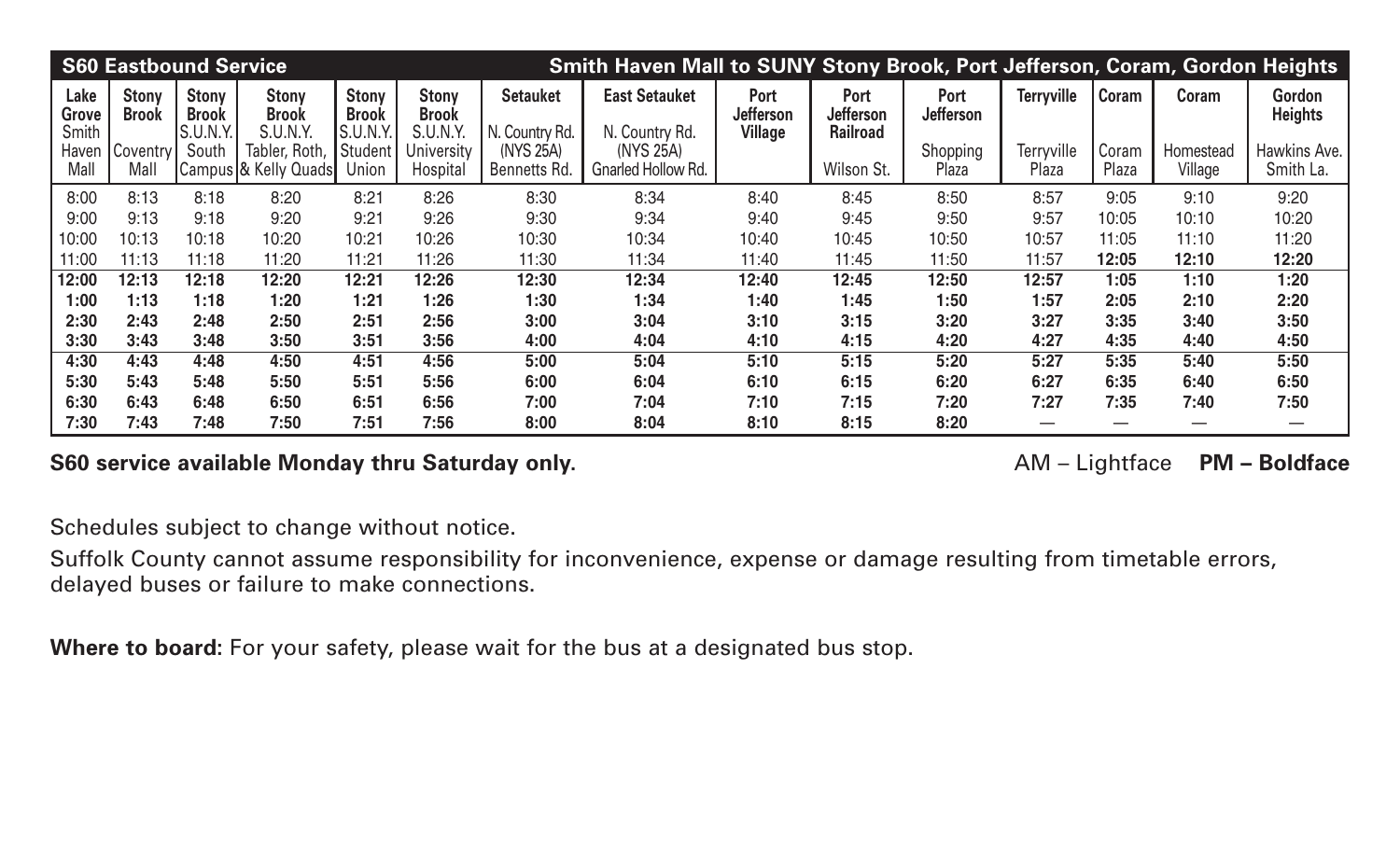|                        | <b>S60 Eastbound Service</b> |                                          |                                          |                                          |                                          |                                   | Smith Haven Mall to SUNY Stony Brook, Port Jefferson, Coram, Gordon Heights |                          |                                             |                   |                     |                |                      |                           |
|------------------------|------------------------------|------------------------------------------|------------------------------------------|------------------------------------------|------------------------------------------|-----------------------------------|-----------------------------------------------------------------------------|--------------------------|---------------------------------------------|-------------------|---------------------|----------------|----------------------|---------------------------|
| Lake<br>Grove<br>Smith | <b>Stony</b><br><b>Brook</b> | <b>Stony</b><br><b>Brook</b><br>S.U.N.Y. | <b>Stony</b><br><b>Brook</b><br>S.U.N.Y. | <b>Stony</b><br><b>Brook</b><br>S.U.N.Y. | <b>Stony</b><br><b>Brook</b><br>S.U.N.Y. | <b>Setauket</b><br>N. Country Rd. | <b>East Setauket</b><br>N. Country Rd.                                      | Port<br><b>Jefferson</b> | Port<br><b>Jefferson</b><br><b>Railroad</b> | Port<br>Jefferson | <b>Terryville</b>   | Coram          | Coram                | Gordon<br><b>Heights</b>  |
| Haven<br>Mall          | Coventry<br>Mall             | South                                    | Tabler, Roth,<br>Campus & Kelly Quads    | Student<br>Union                         | University<br>Hospital                   | (NYS 25A)<br>Bennetts Rd.         | (NYS 25A)<br>Gnarled Hollow Rd.                                             | <b>Village</b>           | Wilson St.                                  | Shopping<br>Plaza | Terryville<br>Plaza | Coram<br>Plaza | Homestead<br>Village | Hawkins Ave.<br>Smith La. |
| 8:00                   | 8:13                         | 8:18                                     | 8:20                                     | 8:21                                     | 8:26                                     | 8:30                              | 8:34                                                                        | 8:40                     | 8:45                                        | 8:50              | 8:57                | 9:05           | 9:10                 | 9:20                      |
| 9:00                   | 9:13                         | 9:18                                     | 9:20                                     | 9:21                                     | 9:26                                     | 9:30                              | 9:34                                                                        | 9:40                     | 9:45                                        | 9:50              | 9:57                | 10:05          | 10:10                | 10:20                     |
| 10:00                  | 10:13                        | 10:18                                    | 10:20                                    | 10:21                                    | 10:26                                    | 10:30                             | 10:34                                                                       | 10:40                    | 10:45                                       | 10:50             | 10:57               | 11:05          | 11:10                | 11:20                     |
| 11:00                  | 11:13                        | 11:18                                    | 11:20                                    | 11:21                                    | 11:26                                    | 11:30                             | 11:34                                                                       | 11:40                    | 11:45                                       | 11:50             | 11:57               | 12:05          | 12:10                | 12:20                     |
| 12:00                  | 12:13                        | 12:18                                    | 12:20                                    | 12:21                                    | 12:26                                    | 12:30                             | 12:34                                                                       | 12:40                    | 12:45                                       | 12:50             | 12:57               | 1:05           | 1:10                 | 1:20                      |
| 1:00                   | 1:13                         | 1:18                                     | 1:20                                     | 1:21                                     | 1:26                                     | 1:30                              | 1:34                                                                        | 1:40                     | 1:45                                        | 1:50              | 1:57                | 2:05           | 2:10                 | 2:20                      |
| 2:30                   | 2:43                         | 2:48                                     | 2:50                                     | 2:51                                     | 2:56                                     | 3:00                              | 3:04                                                                        | 3:10                     | 3:15                                        | 3:20              | 3:27                | 3:35           | 3:40                 | 3:50                      |
| 3:30                   | 3:43                         | 3:48                                     | 3:50                                     | 3:51                                     | 3:56                                     | 4:00                              | 4:04                                                                        | 4:10                     | 4:15                                        | 4:20              | 4:27                | 4:35           | 4:40                 | 4:50                      |
| 4:30                   | 4:43                         | 4:48                                     | 4:50                                     | 4:51                                     | 4:56                                     | 5:00                              | 5:04                                                                        | 5:10                     | 5:15                                        | 5:20              | 5:27                | 5:35           | 5:40                 | 5:50                      |
| 5:30                   | 5:43                         | 5:48                                     | 5:50                                     | 5:51                                     | 5:56                                     | 6:00                              | 6:04                                                                        | 6:10                     | 6:15                                        | 6:20              | 6:27                | 6:35           | 6:40                 | 6:50                      |
| 6:30                   | 6:43                         | 6:48                                     | 6:50                                     | 6:51                                     | 6:56                                     | 7:00                              | 7:04                                                                        | 7:10                     | 7:15                                        | 7:20              | 7:27                | 7:35           | 7:40                 | 7:50                      |
| 7:30                   | 7:43                         | 7:48                                     | 7:50                                     | 7:51                                     | 7:56                                     | 8:00                              | 8:04                                                                        | 8:10                     | 8:15                                        | 8:20              |                     |                |                      |                           |

## S60 service available Monday thru Saturday only. **AM** – Lightface PM – Boldface

Schedules subject to change without notice.

Suffolk County cannot assume responsibility for inconvenience, expense or damage resulting from timetable errors, delayed buses or failure to make connections.

**Where to board:** For your safety, please wait for the bus at a designated bus stop.